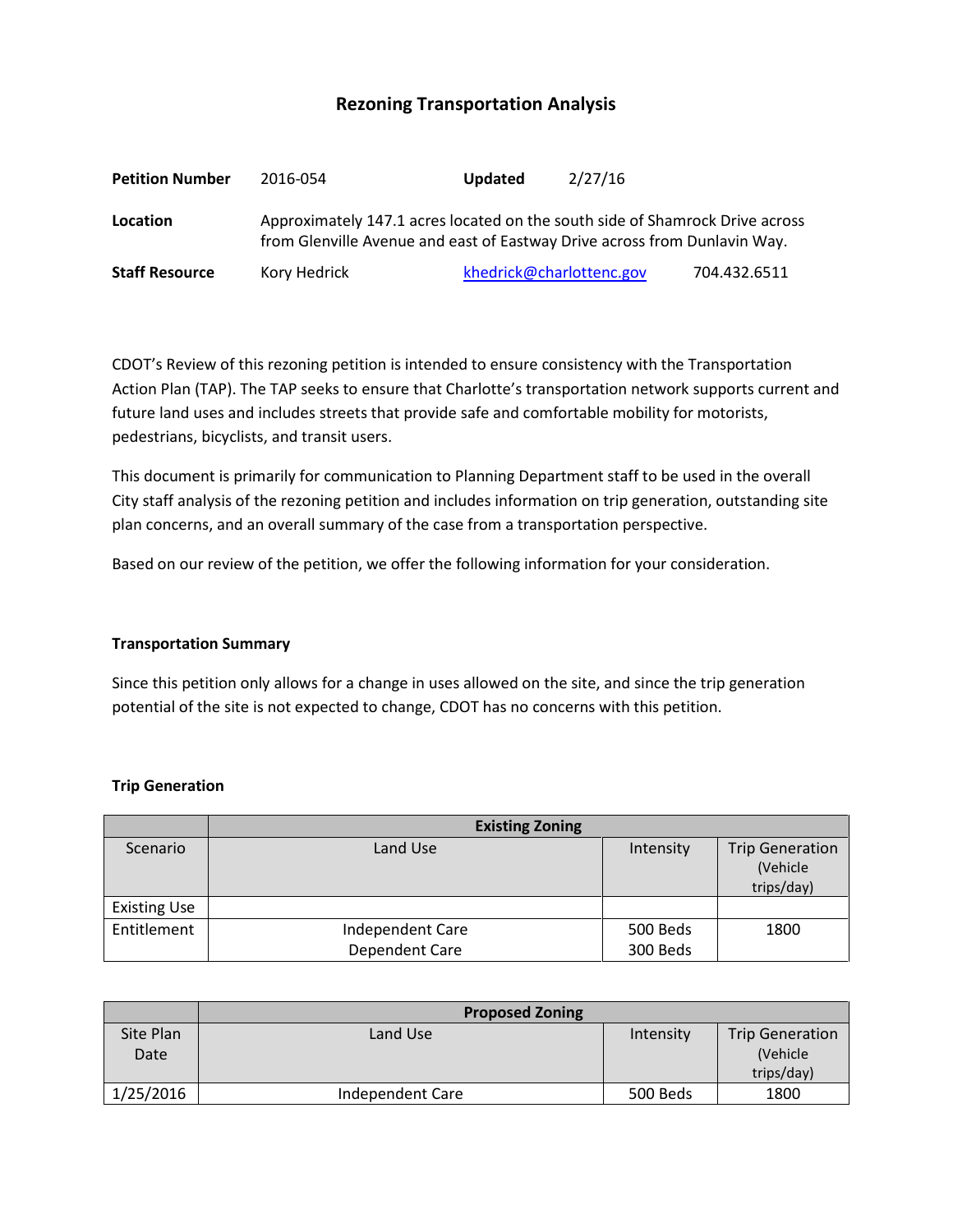## **Rezoning Transportation Analysis**

| <b>Petition Number</b> | 2016-054                                                                                                                                                  | <b>Updated</b> | 2/27/16                  |              |
|------------------------|-----------------------------------------------------------------------------------------------------------------------------------------------------------|----------------|--------------------------|--------------|
| Location               | Approximately 147.1 acres located on the south side of Shamrock Drive across<br>from Glenville Avenue and east of Eastway Drive across from Dunlavin Way. |                |                          |              |
| <b>Staff Resource</b>  | Kory Hedrick                                                                                                                                              |                | khedrick@charlottenc.gov | 704.432.6511 |

CDOT's Review of this rezoning petition is intended to ensure consistency with the Transportation Action Plan (TAP). The TAP seeks to ensure that Charlotte's transportation network supports current and future land uses and includes streets that provide safe and comfortable mobility for motorists, pedestrians, bicyclists, and transit users.

This document is primarily for communication to Planning Department staff to be used in the overall City staff analysis of the rezoning petition and includes information on trip generation, outstanding site plan concerns, and an overall summary of the case from a transportation perspective.

Based on our review of the petition, we offer the following information for your consideration.

## **Transportation Summary**

Since this petition only allows for a change in uses allowed on the site, and since the trip generation potential of the site is not expected to change, CDOT has no concerns with this petition.

## **Trip Generation**

|                     | <b>Existing Zoning</b> |           |                                                  |  |
|---------------------|------------------------|-----------|--------------------------------------------------|--|
| Scenario            | Land Use               | Intensity | <b>Trip Generation</b><br>(Vehicle<br>trips/day) |  |
| <b>Existing Use</b> |                        |           |                                                  |  |
| Entitlement         | Independent Care       | 500 Beds  | 1800                                             |  |
|                     | Dependent Care         | 300 Beds  |                                                  |  |

|                   | <b>Proposed Zoning</b> |           |                                                   |
|-------------------|------------------------|-----------|---------------------------------------------------|
| Site Plan<br>Date | Land Use               | Intensity | <b>Trip Generation</b><br>(Vehicle)<br>trips/day) |
| 1/25/2016         | Independent Care       | 500 Beds  | 1800                                              |